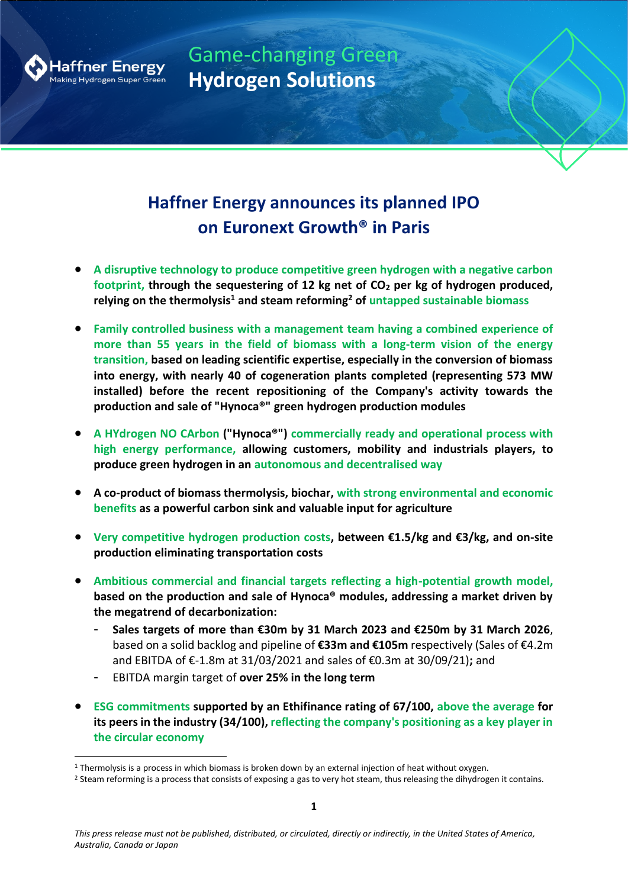

Game-changing Green **Hydrogen Solutions**

# **Haffner Energy announces its planned IPO on Euronext Growth® in Paris**

- **A disruptive technology to produce competitive green hydrogen with a negative carbon footprint, through the sequestering of 12 kg net of CO<sup>2</sup> per kg of hydrogen produced, relying on the thermolysis<sup>1</sup> and steam reforming<sup>2</sup> of untapped sustainable biomass**
- **Family controlled business with a management team having a combined experience of more than 55 years in the field of biomass with a long-term vision of the energy transition, based on leading scientific expertise, especially in the conversion of biomass into energy, with nearly 40 of cogeneration plants completed (representing 573 MW installed) before the recent repositioning of the Company's activity towards the production and sale of "Hynoca®" green hydrogen production modules**
- **A HYdrogen NO CArbon ("Hynoca®") commercially ready and operational process with high energy performance, allowing customers, mobility and industrials players, to produce green hydrogen in an autonomous and decentralised way**
- **A co-product of biomass thermolysis, biochar, with strong environmental and economic benefits as a powerful carbon sink and valuable input for agriculture**
- **Very competitive hydrogen production costs, between €1.5/kg and €3/kg, and on-site production eliminating transportation costs**
- **Ambitious commercial and financial targets reflecting a high-potential growth model, based on the production and sale of Hynoca® modules, addressing a market driven by the megatrend of decarbonization:**
	- **Sales targets of more than €30m by 31 March 2023 and €250m by 31 March 2026**, based on a solid backlog and pipeline of **€33m and €105m** respectively (Sales of €4.2m and EBITDA of €-1.8m at 31/03/2021 and sales of €0.3m at 30/09/21)**;** and
	- EBITDA margin target of **over 25% in the long term**
- **ESG commitments supported by an Ethifinance rating of 67/100, above the average for its peers in the industry (34/100), reflecting the company's positioning as a key player in the circular economy**

 $1$  Thermolysis is a process in which biomass is broken down by an external injection of heat without oxygen.

<sup>&</sup>lt;sup>2</sup> Steam reforming is a process that consists of exposing a gas to very hot steam, thus releasing the dihydrogen it contains.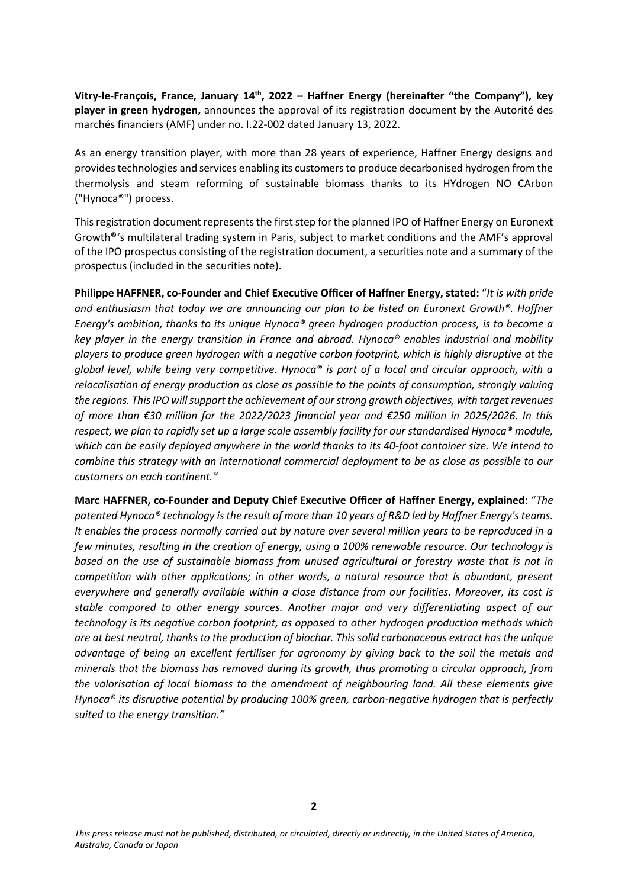Vitry-le-François, France, January 14<sup>th</sup>, 2022 – Haffner Energy (hereinafter "the Company"), key **player in green hydrogen,** announces the approval of its registration document by the Autorité des marchés financiers (AMF) under no. I.22-002 dated January 13, 2022.

As an energy transition player, with more than 28 years of experience, Haffner Energy designs and provides technologies and services enabling its customers to produce decarbonised hydrogen from the thermolysis and steam reforming of sustainable biomass thanks to its HYdrogen NO CArbon ("Hynoca®") process.

This registration document represents the first step for the planned IPO of Haffner Energy on Euronext Growth®'s multilateral trading system in Paris, subject to market conditions and the AMF's approval of the IPO prospectus consisting of the registration document, a securities note and a summary of the prospectus (included in the securities note).

**Philippe HAFFNER, co-Founder and Chief Executive Officer of Haffner Energy, stated:** "*It is with pride and enthusiasm that today we are announcing our plan to be listed on Euronext Growth®. Haffner Energy's ambition, thanks to its unique Hynoca® green hydrogen production process, is to become a key player in the energy transition in France and abroad. Hynoca® enables industrial and mobility players to produce green hydrogen with a negative carbon footprint, which is highly disruptive at the global level, while being very competitive. Hynoca® is part of a local and circular approach, with a relocalisation of energy production as close as possible to the points of consumption, strongly valuing the regions. This IPO willsupport the achievement of our strong growth objectives, with target revenues of more than €30 million for the 2022/2023 financial year and €250 million in 2025/2026. In this respect, we plan to rapidly set up a large scale assembly facility for our standardised Hynoca® module, which can be easily deployed anywhere in the world thanks to its 40-foot container size. We intend to combine this strategy with an international commercial deployment to be as close as possible to our customers on each continent."*

**Marc HAFFNER, co-Founder and Deputy Chief Executive Officer of Haffner Energy, explained**: "*The patented Hynoca® technology is the result of more than 10 years of R&D led by Haffner Energy's teams. It enables the process normally carried out by nature over several million years to be reproduced in a few minutes, resulting in the creation of energy, using a 100% renewable resource. Our technology is based on the use of sustainable biomass from unused agricultural or forestry waste that is not in competition with other applications; in other words, a natural resource that is abundant, present everywhere and generally available within a close distance from our facilities. Moreover, its cost is stable compared to other energy sources. Another major and very differentiating aspect of our technology is its negative carbon footprint, as opposed to other hydrogen production methods which are at best neutral, thanks to the production of biochar. This solid carbonaceous extract has the unique advantage of being an excellent fertiliser for agronomy by giving back to the soil the metals and minerals that the biomass has removed during its growth, thus promoting a circular approach, from the valorisation of local biomass to the amendment of neighbouring land. All these elements give Hynoca® its disruptive potential by producing 100% green, carbon-negative hydrogen that is perfectly suited to the energy transition."*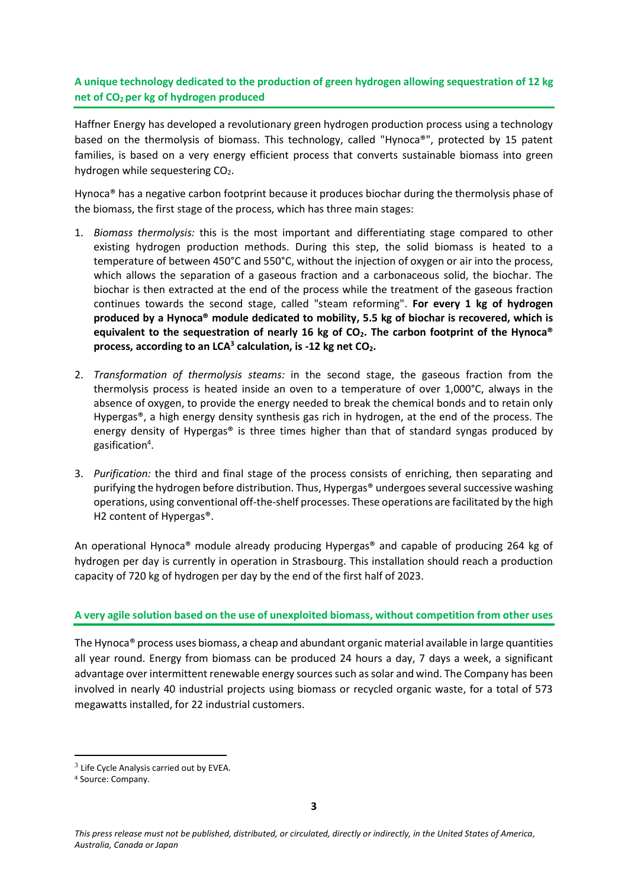# **A unique technology dedicated to the production of green hydrogen allowing sequestration of 12 kg net of CO<sup>2</sup> per kg of hydrogen produced**

Haffner Energy has developed a revolutionary green hydrogen production process using a technology based on the thermolysis of biomass. This technology, called "Hynoca®", protected by 15 patent families, is based on a very energy efficient process that converts sustainable biomass into green hydrogen while sequestering CO<sub>2</sub>.

Hynoca® has a negative carbon footprint because it produces biochar during the thermolysis phase of the biomass, the first stage of the process, which has three main stages:

- 1. *Biomass thermolysis:* this is the most important and differentiating stage compared to other existing hydrogen production methods. During this step, the solid biomass is heated to a temperature of between 450°C and 550°C, without the injection of oxygen or air into the process, which allows the separation of a gaseous fraction and a carbonaceous solid, the biochar. The biochar is then extracted at the end of the process while the treatment of the gaseous fraction continues towards the second stage, called "steam reforming". **For every 1 kg of hydrogen produced by a Hynoca® module dedicated to mobility, 5.5 kg of biochar is recovered, which is equivalent to the sequestration of nearly 16 kg of CO2. The carbon footprint of the Hynoca® process, according to an LCA<sup>3</sup> calculation, is -12 kg net CO2.**
- 2. *Transformation of thermolysis steams:* in the second stage, the gaseous fraction from the thermolysis process is heated inside an oven to a temperature of over 1,000°C, always in the absence of oxygen, to provide the energy needed to break the chemical bonds and to retain only Hypergas®, a high energy density synthesis gas rich in hydrogen, at the end of the process. The energy density of Hypergas® is three times higher than that of standard syngas produced by gasification<sup>4</sup>.
- 3. *Purification:* the third and final stage of the process consists of enriching, then separating and purifying the hydrogen before distribution. Thus, Hypergas® undergoes several successive washing operations, using conventional off-the-shelf processes. These operations are facilitated by the high H2 content of Hypergas®.

An operational Hynoca® module already producing Hypergas® and capable of producing 264 kg of hydrogen per day is currently in operation in Strasbourg. This installation should reach a production capacity of 720 kg of hydrogen per day by the end of the first half of 2023.

# **A very agile solution based on the use of unexploited biomass, without competition from other uses**

The Hynoca® process uses biomass, a cheap and abundant organic material available in large quantities all year round. Energy from biomass can be produced 24 hours a day, 7 days a week, a significant advantage over intermittent renewable energy sources such as solar and wind. The Company has been involved in nearly 40 industrial projects using biomass or recycled organic waste, for a total of 573 megawatts installed, for 22 industrial customers.

 $3$  Life Cycle Analysis carried out by EVEA.

<sup>4</sup> Source: Company.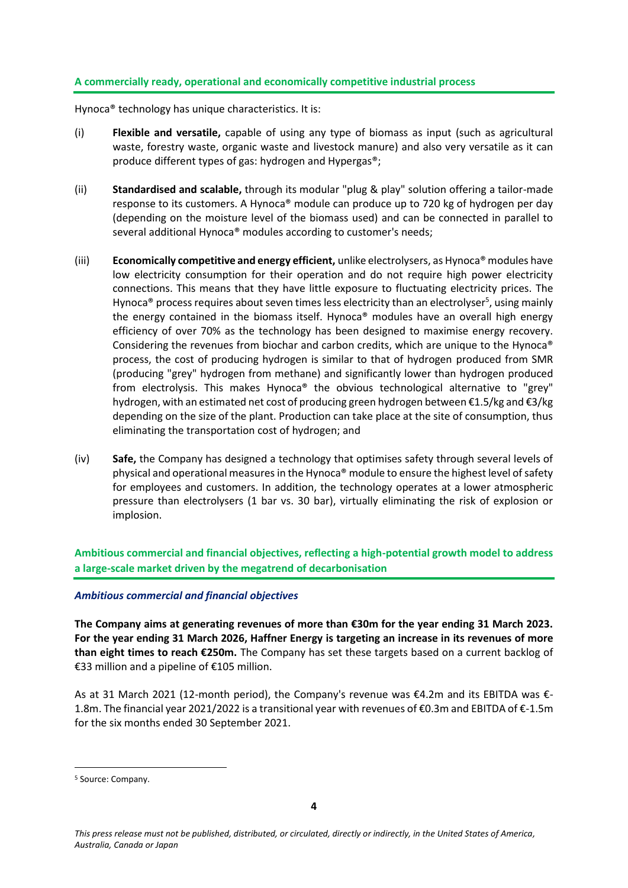# **A commercially ready, operational and economically competitive industrial process**

Hynoca® technology has unique characteristics. It is:

- (i) **Flexible and versatile,** capable of using any type of biomass as input (such as agricultural waste, forestry waste, organic waste and livestock manure) and also very versatile as it can produce different types of gas: hydrogen and Hypergas®;
- (ii) **Standardised and scalable,** through its modular "plug & play" solution offering a tailor-made response to its customers. A Hynoca® module can produce up to 720 kg of hydrogen per day (depending on the moisture level of the biomass used) and can be connected in parallel to several additional Hynoca® modules according to customer's needs;
- (iii) **Economically competitive and energy efficient,** unlike electrolysers, as Hynoca® modules have low electricity consumption for their operation and do not require high power electricity connections. This means that they have little exposure to fluctuating electricity prices. The Hynoca® process requires about seven times less electricity than an electrolyser<sup>5</sup>, using mainly the energy contained in the biomass itself. Hynoca® modules have an overall high energy efficiency of over 70% as the technology has been designed to maximise energy recovery. Considering the revenues from biochar and carbon credits, which are unique to the Hynoca<sup>®</sup> process, the cost of producing hydrogen is similar to that of hydrogen produced from SMR (producing "grey" hydrogen from methane) and significantly lower than hydrogen produced from electrolysis. This makes Hynoca® the obvious technological alternative to "grey" hydrogen, with an estimated net cost of producing green hydrogen between €1.5/kg and €3/kg depending on the size of the plant. Production can take place at the site of consumption, thus eliminating the transportation cost of hydrogen; and
- (iv) **Safe,** the Company has designed a technology that optimises safety through several levels of physical and operational measures in the Hynoca® module to ensure the highest level of safety for employees and customers. In addition, the technology operates at a lower atmospheric pressure than electrolysers (1 bar vs. 30 bar), virtually eliminating the risk of explosion or implosion.

**Ambitious commercial and financial objectives, reflecting a high-potential growth model to address a large-scale market driven by the megatrend of decarbonisation**

#### *Ambitious commercial and financial objectives*

**The Company aims at generating revenues of more than €30m for the year ending 31 March 2023. For the year ending 31 March 2026, Haffner Energy is targeting an increase in its revenues of more than eight times to reach €250m.** The Company has set these targets based on a current backlog of €33 million and a pipeline of €105 million.

As at 31 March 2021 (12-month period), the Company's revenue was €4.2m and its EBITDA was €-1.8m. The financial year 2021/2022 is a transitional year with revenues of €0.3m and EBITDA of €-1.5m for the six months ended 30 September 2021.

<sup>5</sup> Source: Company.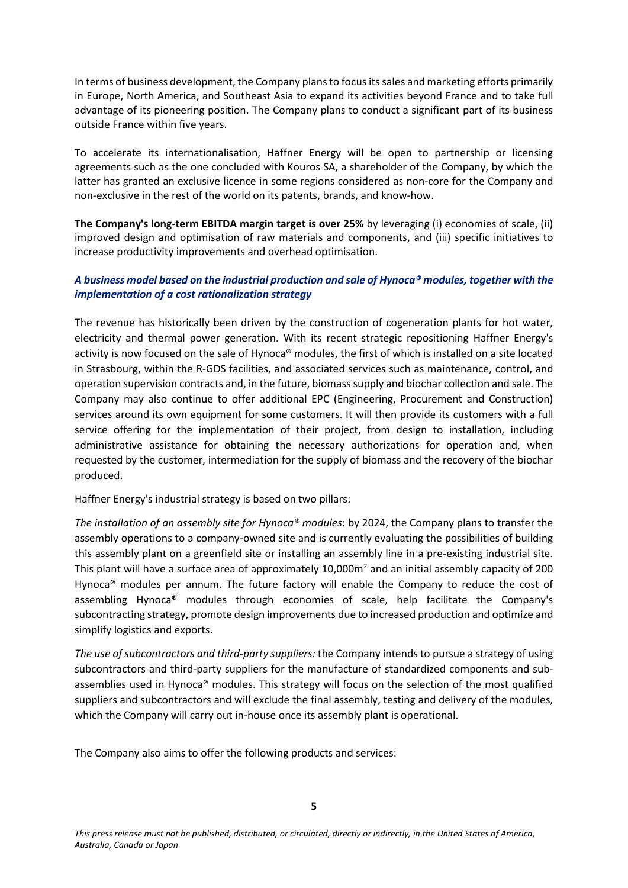In terms of business development, the Company plans to focus its sales and marketing efforts primarily in Europe, North America, and Southeast Asia to expand its activities beyond France and to take full advantage of its pioneering position. The Company plans to conduct a significant part of its business outside France within five years.

To accelerate its internationalisation, Haffner Energy will be open to partnership or licensing agreements such as the one concluded with Kouros SA, a shareholder of the Company, by which the latter has granted an exclusive licence in some regions considered as non-core for the Company and non-exclusive in the rest of the world on its patents, brands, and know-how.

**The Company's long-term EBITDA margin target is over 25%** by leveraging (i) economies of scale, (ii) improved design and optimisation of raw materials and components, and (iii) specific initiatives to increase productivity improvements and overhead optimisation.

# *A business model based on the industrial production and sale of Hynoca® modules, together with the implementation of a cost rationalization strategy*

The revenue has historically been driven by the construction of cogeneration plants for hot water, electricity and thermal power generation. With its recent strategic repositioning Haffner Energy's activity is now focused on the sale of Hynoca® modules, the first of which is installed on a site located in Strasbourg, within the R-GDS facilities, and associated services such as maintenance, control, and operation supervision contracts and, in the future, biomass supply and biochar collection and sale. The Company may also continue to offer additional EPC (Engineering, Procurement and Construction) services around its own equipment for some customers. It will then provide its customers with a full service offering for the implementation of their project, from design to installation, including administrative assistance for obtaining the necessary authorizations for operation and, when requested by the customer, intermediation for the supply of biomass and the recovery of the biochar produced.

Haffner Energy's industrial strategy is based on two pillars:

*The installation of an assembly site for Hynoca® modules*: by 2024, the Company plans to transfer the assembly operations to a company-owned site and is currently evaluating the possibilities of building this assembly plant on a greenfield site or installing an assembly line in a pre-existing industrial site. This plant will have a surface area of approximately 10,000m<sup>2</sup> and an initial assembly capacity of 200 Hynoca® modules per annum. The future factory will enable the Company to reduce the cost of assembling Hynoca® modules through economies of scale, help facilitate the Company's subcontracting strategy, promote design improvements due to increased production and optimize and simplify logistics and exports.

*The use of subcontractors and third-party suppliers:* the Company intends to pursue a strategy of using subcontractors and third-party suppliers for the manufacture of standardized components and subassemblies used in Hynoca® modules. This strategy will focus on the selection of the most qualified suppliers and subcontractors and will exclude the final assembly, testing and delivery of the modules, which the Company will carry out in-house once its assembly plant is operational.

The Company also aims to offer the following products and services: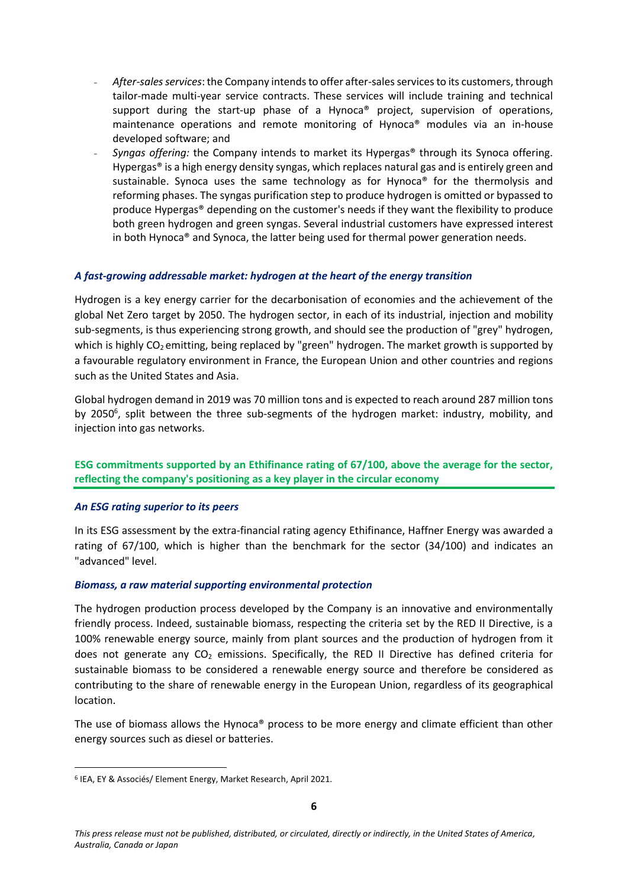- *After-sales services*: the Company intends to offer after-sales services to its customers, through tailor-made multi-year service contracts. These services will include training and technical support during the start-up phase of a Hynoca® project, supervision of operations, maintenance operations and remote monitoring of Hynoca® modules via an in-house developed software; and
- *Syngas offering:* the Company intends to market its Hypergas® through its Synoca offering. Hypergas® is a high energy density syngas, which replaces natural gas and is entirely green and sustainable. Synoca uses the same technology as for Hynoca<sup>®</sup> for the thermolysis and reforming phases. The syngas purification step to produce hydrogen is omitted or bypassed to produce Hypergas® depending on the customer's needs if they want the flexibility to produce both green hydrogen and green syngas. Several industrial customers have expressed interest in both Hynoca® and Synoca, the latter being used for thermal power generation needs.

## *A fast-growing addressable market: hydrogen at the heart of the energy transition*

Hydrogen is a key energy carrier for the decarbonisation of economies and the achievement of the global Net Zero target by 2050. The hydrogen sector, in each of its industrial, injection and mobility sub-segments, is thus experiencing strong growth, and should see the production of "grey" hydrogen, which is highly CO<sub>2</sub> emitting, being replaced by "green" hydrogen. The market growth is supported by a favourable regulatory environment in France, the European Union and other countries and regions such as the United States and Asia.

Global hydrogen demand in 2019 was 70 million tons and is expected to reach around 287 million tons by 2050<sup>6</sup>, split between the three sub-segments of the hydrogen market: industry, mobility, and injection into gas networks.

# **ESG commitments supported by an Ethifinance rating of 67/100, above the average for the sector, reflecting the company's positioning as a key player in the circular economy**

#### *An ESG rating superior to its peers*

In its ESG assessment by the extra-financial rating agency Ethifinance, Haffner Energy was awarded a rating of 67/100, which is higher than the benchmark for the sector (34/100) and indicates an "advanced" level.

#### *Biomass, a raw material supporting environmental protection*

The hydrogen production process developed by the Company is an innovative and environmentally friendly process. Indeed, sustainable biomass, respecting the criteria set by the RED II Directive, is a 100% renewable energy source, mainly from plant sources and the production of hydrogen from it does not generate any  $CO<sub>2</sub>$  emissions. Specifically, the RED II Directive has defined criteria for sustainable biomass to be considered a renewable energy source and therefore be considered as contributing to the share of renewable energy in the European Union, regardless of its geographical location.

The use of biomass allows the Hynoca® process to be more energy and climate efficient than other energy sources such as diesel or batteries.

<sup>6</sup> IEA, EY & Associés/ Element Energy, Market Research, April 2021.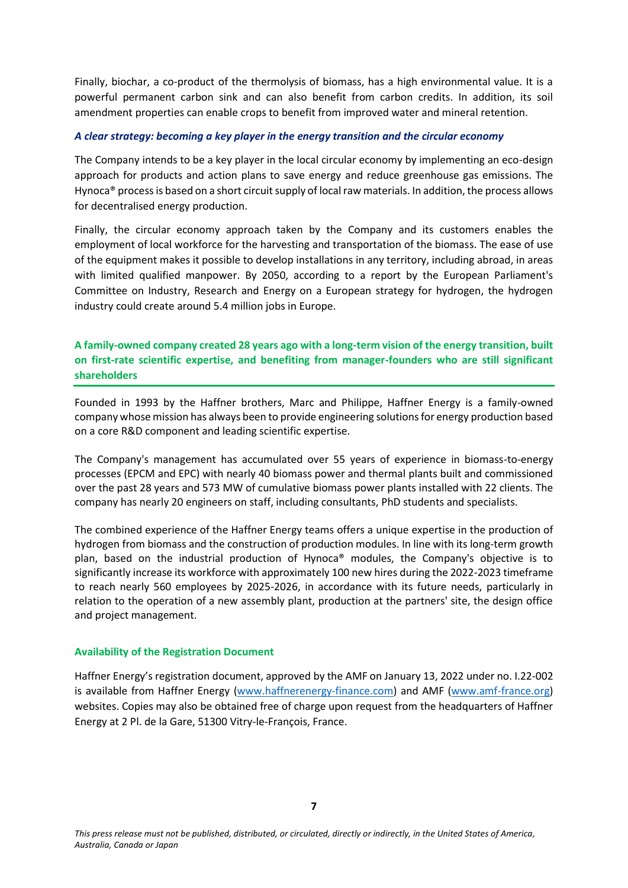Finally, biochar, a co-product of the thermolysis of biomass, has a high environmental value. It is a powerful permanent carbon sink and can also benefit from carbon credits. In addition, its soil amendment properties can enable crops to benefit from improved water and mineral retention.

### *A clear strategy: becoming a key player in the energy transition and the circular economy*

The Company intends to be a key player in the local circular economy by implementing an eco-design approach for products and action plans to save energy and reduce greenhouse gas emissions. The Hynoca® process is based on a short circuit supply of local raw materials. In addition, the process allows for decentralised energy production.

Finally, the circular economy approach taken by the Company and its customers enables the employment of local workforce for the harvesting and transportation of the biomass. The ease of use of the equipment makes it possible to develop installations in any territory, including abroad, in areas with limited qualified manpower. By 2050, according to a report by the European Parliament's Committee on Industry, Research and Energy on a European strategy for hydrogen, the hydrogen industry could create around 5.4 million jobs in Europe.

# **A family-owned company created 28 years ago with a long-term vision of the energy transition, built on first-rate scientific expertise, and benefiting from manager-founders who are still significant shareholders**

Founded in 1993 by the Haffner brothers, Marc and Philippe, Haffner Energy is a family-owned company whose mission has always been to provide engineering solutions for energy production based on a core R&D component and leading scientific expertise.

The Company's management has accumulated over 55 years of experience in biomass-to-energy processes (EPCM and EPC) with nearly 40 biomass power and thermal plants built and commissioned over the past 28 years and 573 MW of cumulative biomass power plants installed with 22 clients. The company has nearly 20 engineers on staff, including consultants, PhD students and specialists.

The combined experience of the Haffner Energy teams offers a unique expertise in the production of hydrogen from biomass and the construction of production modules. In line with its long-term growth plan, based on the industrial production of Hynoca® modules, the Company's objective is to significantly increase its workforce with approximately 100 new hires during the 2022-2023 timeframe to reach nearly 560 employees by 2025-2026, in accordance with its future needs, particularly in relation to the operation of a new assembly plant, production at the partners' site, the design office and project management.

# **Availability of the Registration Document**

Haffner Energy's registration document, approved by the AMF on January 13, 2022 under no. I.22-002 is available from Haffner Energy [\(www.haffnerenergy-finance.com\)](http://www.haffnerenergy-finance.com/) and AMF [\(www.amf-france.org\)](http://www.amf-france.org/) websites. Copies may also be obtained free of charge upon request from the headquarters of Haffner Energy at 2 Pl. de la Gare, 51300 Vitry-le-François, France.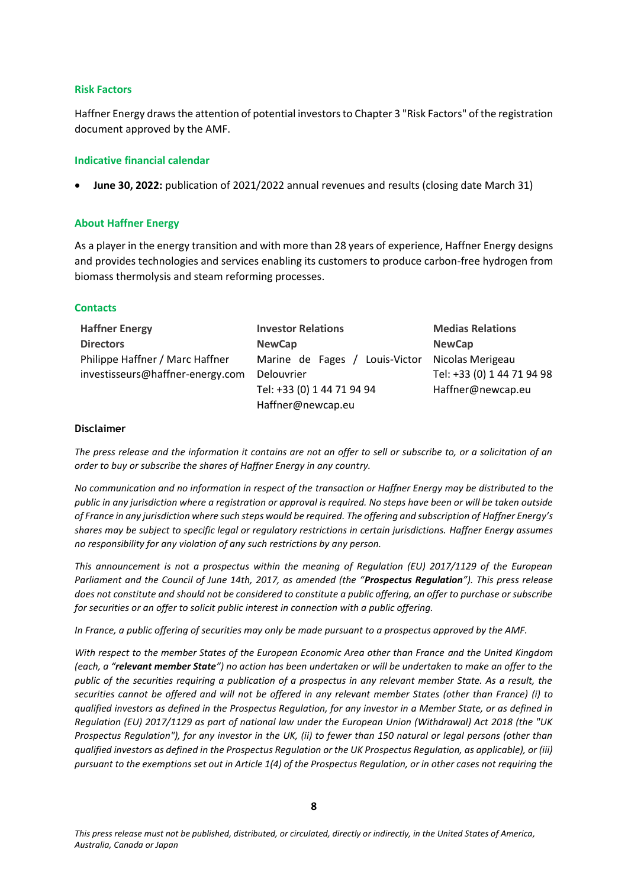#### **Risk Factors**

Haffner Energy draws the attention of potential investors to Chapter 3 "Risk Factors" of the registration document approved by the AMF.

#### **Indicative financial calendar**

• **June 30, 2022:** publication of 2021/2022 annual revenues and results (closing date March 31)

#### **About Haffner Energy**

As a player in the energy transition and with more than 28 years of experience, Haffner Energy designs and provides technologies and services enabling its customers to produce carbon-free hydrogen from biomass thermolysis and steam reforming processes.

#### **Contacts**

| <b>Haffner Energy</b>            | <b>Investor Relations</b>       | <b>Medias Relations</b>    |
|----------------------------------|---------------------------------|----------------------------|
| <b>Directors</b>                 | <b>NewCap</b>                   | <b>NewCap</b>              |
| Philippe Haffner / Marc Haffner  | Louis-Victor<br>Marine de Fages | Nicolas Merigeau           |
| investisseurs@haffner-energy.com | Delouvrier                      | Tel: +33 (0) 1 44 71 94 98 |
|                                  | Tel: +33 (0) 1 44 71 94 94      | Haffner@newcap.eu          |
|                                  | Haffner@newcap.eu               |                            |

#### **Disclaimer**

*The press release and the information it contains are not an offer to sell or subscribe to, or a solicitation of an order to buy or subscribe the shares of Haffner Energy in any country.* 

*No communication and no information in respect of the transaction or Haffner Energy may be distributed to the public in any jurisdiction where a registration or approval is required. No steps have been or will be taken outside of France in any jurisdiction where such steps would be required. The offering and subscription of Haffner Energy's shares may be subject to specific legal or regulatory restrictions in certain jurisdictions. Haffner Energy assumes no responsibility for any violation of any such restrictions by any person.*

*This announcement is not a prospectus within the meaning of Regulation (EU) 2017/1129 of the European Parliament and the Council of June 14th, 2017, as amended (the "Prospectus Regulation"). This press release does not constitute and should not be considered to constitute a public offering, an offer to purchase or subscribe for securities or an offer to solicit public interest in connection with a public offering.*

*In France, a public offering of securities may only be made pursuant to a prospectus approved by the AMF.*

*With respect to the member States of the European Economic Area other than France and the United Kingdom (each, a "relevant member State") no action has been undertaken or will be undertaken to make an offer to the public of the securities requiring a publication of a prospectus in any relevant member State. As a result, the securities cannot be offered and will not be offered in any relevant member States (other than France) (i) to qualified investors as defined in the Prospectus Regulation, for any investor in a Member State, or as defined in Regulation (EU) 2017/1129 as part of national law under the European Union (Withdrawal) Act 2018 (the "UK Prospectus Regulation"), for any investor in the UK, (ii) to fewer than 150 natural or legal persons (other than qualified investors as defined in the Prospectus Regulation or the UK Prospectus Regulation, as applicable), or (iii) pursuant to the exemptions set out in Article 1(4) of the Prospectus Regulation, or in other cases not requiring the*